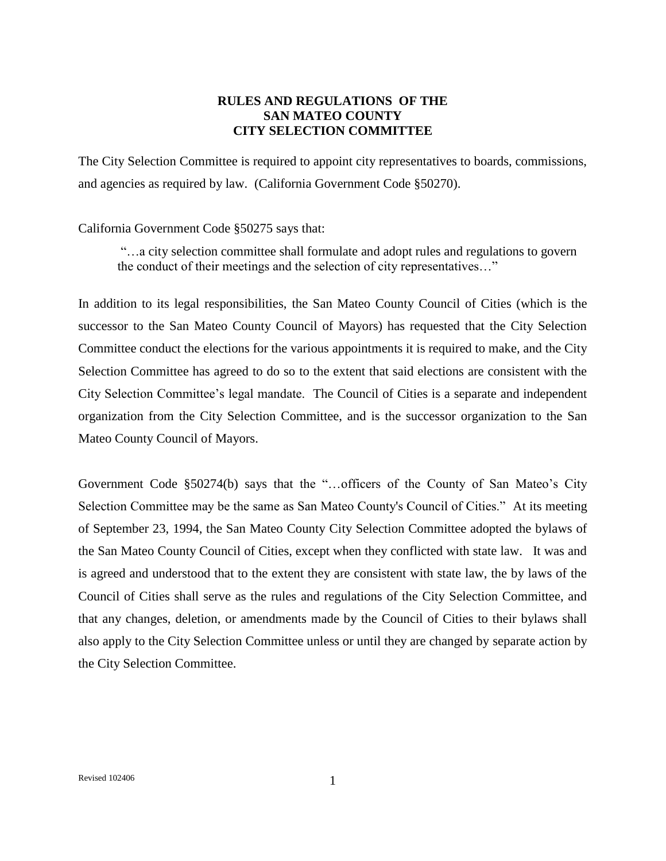## **RULES AND REGULATIONS OF THE SAN MATEO COUNTY CITY SELECTION COMMITTEE**

The City Selection Committee is required to appoint city representatives to boards, commissions, and agencies as required by law. (California Government Code §50270).

## California Government Code §50275 says that:

"…a city selection committee shall formulate and adopt rules and regulations to govern the conduct of their meetings and the selection of city representatives…"

In addition to its legal responsibilities, the San Mateo County Council of Cities (which is the successor to the San Mateo County Council of Mayors) has requested that the City Selection Committee conduct the elections for the various appointments it is required to make, and the City Selection Committee has agreed to do so to the extent that said elections are consistent with the City Selection Committee's legal mandate. The Council of Cities is a separate and independent organization from the City Selection Committee, and is the successor organization to the San Mateo County Council of Mayors.

Government Code §50274(b) says that the "…officers of the County of San Mateo's City Selection Committee may be the same as San Mateo County's Council of Cities." At its meeting of September 23, 1994, the San Mateo County City Selection Committee adopted the bylaws of the San Mateo County Council of Cities, except when they conflicted with state law. It was and is agreed and understood that to the extent they are consistent with state law, the by laws of the Council of Cities shall serve as the rules and regulations of the City Selection Committee, and that any changes, deletion, or amendments made by the Council of Cities to their bylaws shall also apply to the City Selection Committee unless or until they are changed by separate action by the City Selection Committee.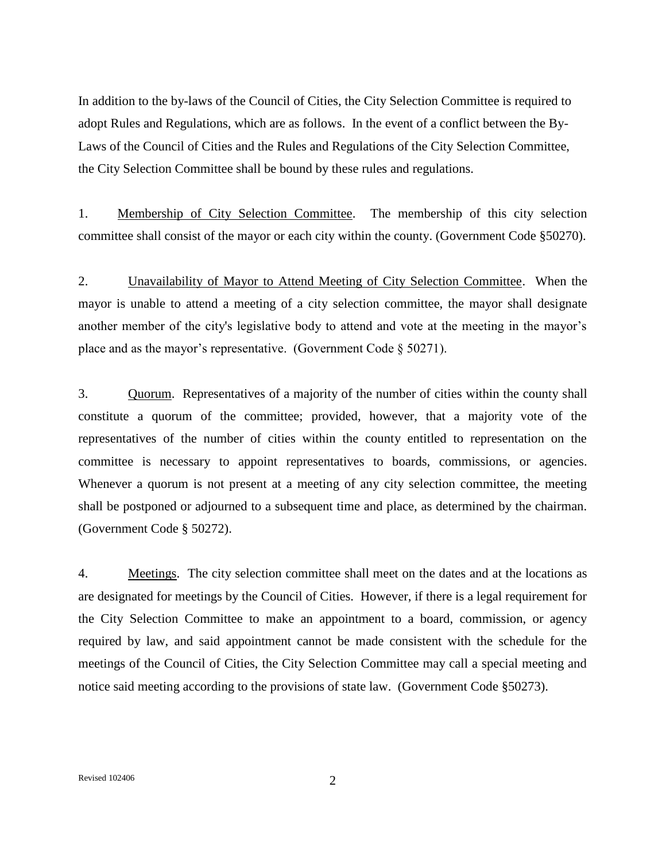In addition to the by-laws of the Council of Cities, the City Selection Committee is required to adopt Rules and Regulations, which are as follows. In the event of a conflict between the By-Laws of the Council of Cities and the Rules and Regulations of the City Selection Committee, the City Selection Committee shall be bound by these rules and regulations.

1. Membership of City Selection Committee. The membership of this city selection committee shall consist of the mayor or each city within the county. (Government Code §50270).

2. Unavailability of Mayor to Attend Meeting of City Selection Committee. When the mayor is unable to attend a meeting of a city selection committee, the mayor shall designate another member of the city's legislative body to attend and vote at the meeting in the mayor's place and as the mayor's representative. (Government Code § 50271).

3. Quorum. Representatives of a majority of the number of cities within the county shall constitute a quorum of the committee; provided, however, that a majority vote of the representatives of the number of cities within the county entitled to representation on the committee is necessary to appoint representatives to boards, commissions, or agencies. Whenever a quorum is not present at a meeting of any city selection committee, the meeting shall be postponed or adjourned to a subsequent time and place, as determined by the chairman. (Government Code § 50272).

4. Meetings. The city selection committee shall meet on the dates and at the locations as are designated for meetings by the Council of Cities. However, if there is a legal requirement for the City Selection Committee to make an appointment to a board, commission, or agency required by law, and said appointment cannot be made consistent with the schedule for the meetings of the Council of Cities, the City Selection Committee may call a special meeting and notice said meeting according to the provisions of state law. (Government Code §50273).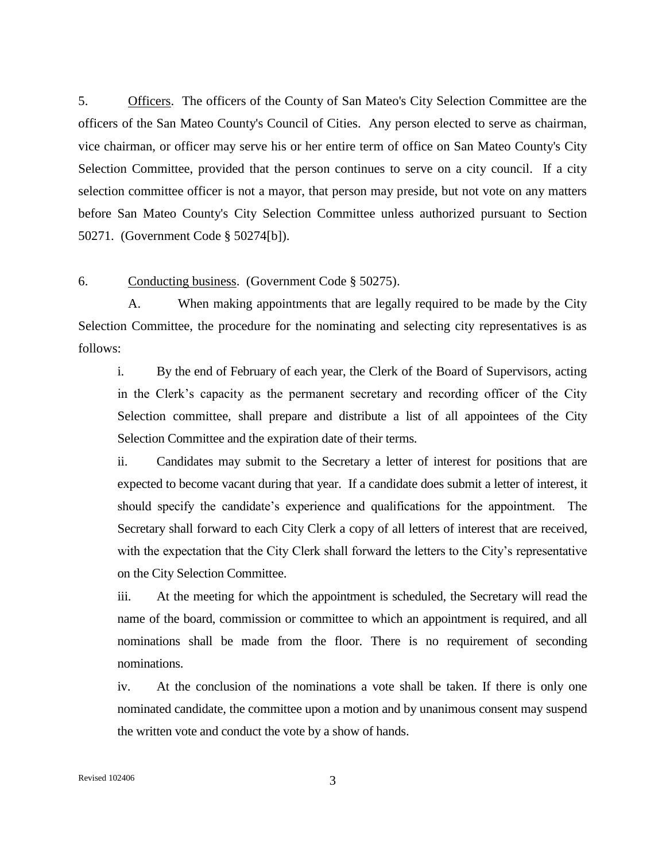5. Officers. The officers of the County of San Mateo's City Selection Committee are the officers of the San Mateo County's Council of Cities. Any person elected to serve as chairman, vice chairman, or officer may serve his or her entire term of office on San Mateo County's City Selection Committee, provided that the person continues to serve on a city council. If a city selection committee officer is not a mayor, that person may preside, but not vote on any matters before San Mateo County's City Selection Committee unless authorized pursuant to Section 50271. (Government Code § 50274[b]).

## 6. Conducting business. (Government Code § 50275).

A. When making appointments that are legally required to be made by the City Selection Committee, the procedure for the nominating and selecting city representatives is as follows:

i. By the end of February of each year, the Clerk of the Board of Supervisors, acting in the Clerk's capacity as the permanent secretary and recording officer of the City Selection committee, shall prepare and distribute a list of all appointees of the City Selection Committee and the expiration date of their terms.

ii. Candidates may submit to the Secretary a letter of interest for positions that are expected to become vacant during that year. If a candidate does submit a letter of interest, it should specify the candidate's experience and qualifications for the appointment. The Secretary shall forward to each City Clerk a copy of all letters of interest that are received, with the expectation that the City Clerk shall forward the letters to the City's representative on the City Selection Committee.

iii. At the meeting for which the appointment is scheduled, the Secretary will read the name of the board, commission or committee to which an appointment is required, and all nominations shall be made from the floor. There is no requirement of seconding nominations.

iv. At the conclusion of the nominations a vote shall be taken. If there is only one nominated candidate, the committee upon a motion and by unanimous consent may suspend the written vote and conduct the vote by a show of hands.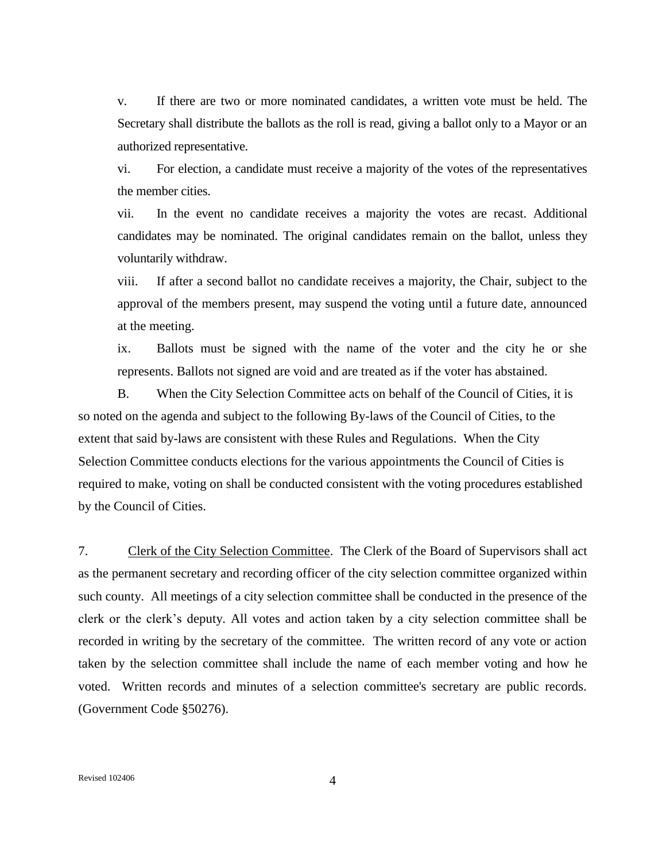v. If there are two or more nominated candidates, a written vote must be held. The Secretary shall distribute the ballots as the roll is read, giving a ballot only to a Mayor or an authorized representative.

vi. For election, a candidate must receive a majority of the votes of the representatives the member cities.

vii. In the event no candidate receives a majority the votes are recast. Additional candidates may be nominated. The original candidates remain on the ballot, unless they voluntarily withdraw.

viii. If after a second ballot no candidate receives a majority, the Chair, subject to the approval of the members present, may suspend the voting until a future date, announced at the meeting.

ix. Ballots must be signed with the name of the voter and the city he or she represents. Ballots not signed are void and are treated as if the voter has abstained.

B. When the City Selection Committee acts on behalf of the Council of Cities, it is so noted on the agenda and subject to the following By-laws of the Council of Cities, to the extent that said by-laws are consistent with these Rules and Regulations. When the City Selection Committee conducts elections for the various appointments the Council of Cities is required to make, voting on shall be conducted consistent with the voting procedures established by the Council of Cities.

7. Clerk of the City Selection Committee. The Clerk of the Board of Supervisors shall act as the permanent secretary and recording officer of the city selection committee organized within such county. All meetings of a city selection committee shall be conducted in the presence of the clerk or the clerk's deputy. All votes and action taken by a city selection committee shall be recorded in writing by the secretary of the committee. The written record of any vote or action taken by the selection committee shall include the name of each member voting and how he voted. Written records and minutes of a selection committee's secretary are public records. (Government Code §50276).